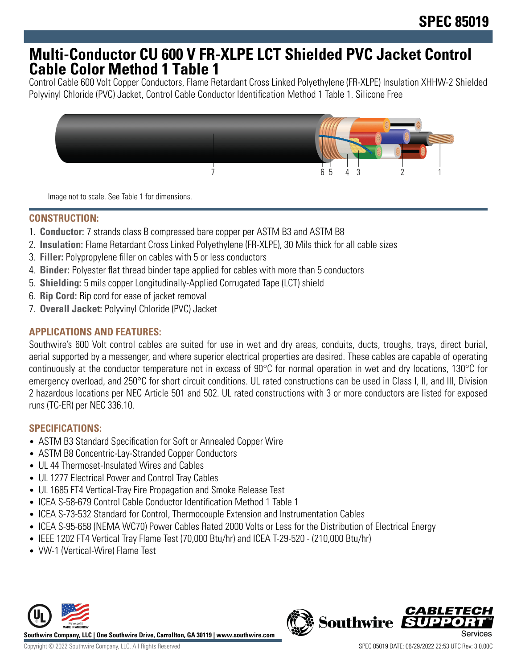## **Multi-Conductor CU 600 V FR-XLPE LCT Shielded PVC Jacket Control Cable Color Method 1 Table 1**

Control Cable 600 Volt Copper Conductors, Flame Retardant Cross Linked Polyethylene (FR-XLPE) Insulation XHHW-2 Shielded Polyvinyl Chloride (PVC) Jacket, Control Cable Conductor Identification Method 1 Table 1. Silicone Free



Image not to scale. See Table 1 for dimensions.

## **CONSTRUCTION:**

- 1. **Conductor:** 7 strands class B compressed bare copper per ASTM B3 and ASTM B8
- 2. **Insulation:** Flame Retardant Cross Linked Polyethylene (FR-XLPE), 30 Mils thick for all cable sizes
- 3. **Filler:** Polypropylene filler on cables with 5 or less conductors
- 4. **Binder:** Polyester flat thread binder tape applied for cables with more than 5 conductors
- 5. **Shielding:** 5 mils copper Longitudinally-Applied Corrugated Tape (LCT) shield
- 6. **Rip Cord:** Rip cord for ease of jacket removal
- 7. **Overall Jacket:** Polyvinyl Chloride (PVC) Jacket

## **APPLICATIONS AND FEATURES:**

Southwire's 600 Volt control cables are suited for use in wet and dry areas, conduits, ducts, troughs, trays, direct burial, aerial supported by a messenger, and where superior electrical properties are desired. These cables are capable of operating continuously at the conductor temperature not in excess of 90°C for normal operation in wet and dry locations, 130°C for emergency overload, and 250°C for short circuit conditions. UL rated constructions can be used in Class I, II, and III, Division 2 hazardous locations per NEC Article 501 and 502. UL rated constructions with 3 or more conductors are listed for exposed runs (TC-ER) per NEC 336.10.

### **SPECIFICATIONS:**

- ASTM B3 Standard Specification for Soft or Annealed Copper Wire
- ASTM B8 Concentric-Lay-Stranded Copper Conductors
- UL 44 Thermoset-Insulated Wires and Cables
- UL 1277 Electrical Power and Control Tray Cables
- UL 1685 FT4 Vertical-Tray Fire Propagation and Smoke Release Test
- ICEA S-58-679 Control Cable Conductor Identification Method 1 Table 1
- ICEA S-73-532 Standard for Control, Thermocouple Extension and Instrumentation Cables
- ICEA S-95-658 (NEMA WC70) Power Cables Rated 2000 Volts or Less for the Distribution of Electrical Energy
- IEEE 1202 FT4 Vertical Tray Flame Test (70,000 Btu/hr) and ICEA T-29-520 (210,000 Btu/hr)
- VW-1 (Vertical-Wire) Flame Test



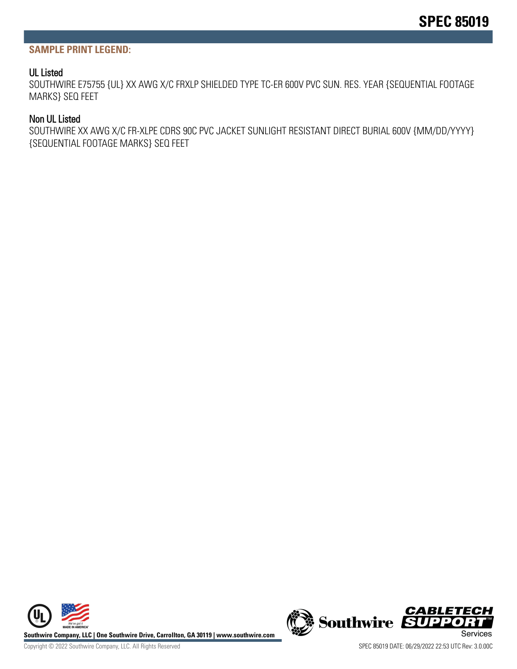#### **SAMPLE PRINT LEGEND:**

#### UL Listed

SOUTHWIRE E75755 {UL} XX AWG X/C FRXLP SHIELDED TYPE TC-ER 600V PVC SUN. RES. YEAR {SEQUENTIAL FOOTAGE MARKS} SEQ FEET

#### Non UL Listed

SOUTHWIRE XX AWG X/C FR-XLPE CDRS 90C PVC JACKET SUNLIGHT RESISTANT DIRECT BURIAL 600V {MM/DD/YYYY} {SEQUENTIAL FOOTAGE MARKS} SEQ FEET



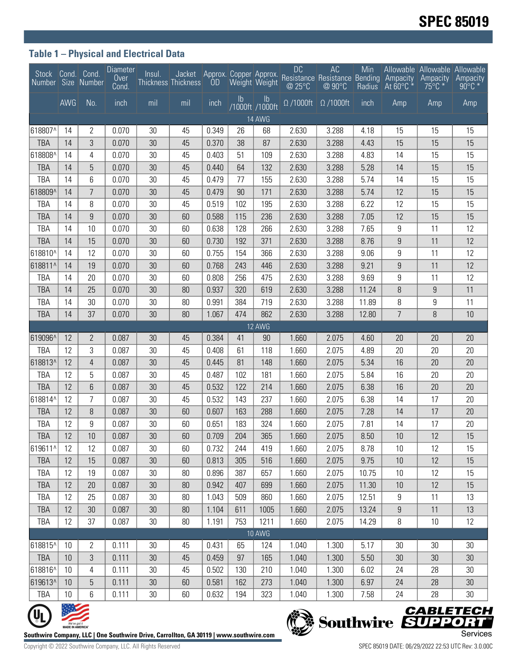## **Table 1 – Physical and Electrical Data**

| Stock Cond.<br>Number Size Number |                                  | Cond.            | Diameter<br><b>Over</b><br>Cond. | Insul.                                                                                 | Jacket Approx. Copper Approx.<br>Thickness Thickness | <b>OD</b> |               | Weight Weight                    | <b>DC</b><br>@ 25°C    | AC<br>Resistance Resistance Bending Ampacity<br>@ 90°C | Min<br><b>Radius</b> | At $60^{\circ}$ C $*$ | Allowable Allowable Allowable<br>Ampacity<br>$75^{\circ}$ C $*$ | Ampacity<br>$90^{\circ}$ C $*$        |
|-----------------------------------|----------------------------------|------------------|----------------------------------|----------------------------------------------------------------------------------------|------------------------------------------------------|-----------|---------------|----------------------------------|------------------------|--------------------------------------------------------|----------------------|-----------------------|-----------------------------------------------------------------|---------------------------------------|
|                                   | <b>AWG</b>                       | No.              | inch                             | mil                                                                                    | mil                                                  | inch      | $\mathsf{lb}$ | $\mathsf{lb}$<br>/1000ft /1000ft | $\overline{0}$ /1000ft | $\Omega$ /1000ft                                       | inch                 | Amp                   | Amp                                                             | Amp                                   |
| 14 AWG                            |                                  |                  |                                  |                                                                                        |                                                      |           |               |                                  |                        |                                                        |                      |                       |                                                                 |                                       |
| 618807^                           | 14                               | $\mathbf{2}$     | 0.070                            | 30                                                                                     | 45                                                   | 0.349     | 26            | 68                               | 2.630                  | 3.288                                                  | 4.18                 | 15                    | 15                                                              | 15                                    |
| <b>TBA</b>                        | 14                               | 3                | 0.070                            | 30                                                                                     | 45                                                   | 0.370     | 38            | 87                               | 2.630                  | 3.288                                                  | 4.43                 | 15                    | 15                                                              | 15                                    |
| 618808^                           | 14                               | 4                | 0.070                            | 30                                                                                     | 45                                                   | 0.403     | 51            | 109                              | 2.630                  | 3.288                                                  | 4.83                 | 14                    | 15                                                              | 15                                    |
| <b>TBA</b>                        | 14                               | 5                | 0.070                            | 30                                                                                     | 45                                                   | 0.440     | 64            | 132                              | 2.630                  | 3.288                                                  | 5.28                 | 14                    | 15                                                              | 15                                    |
| TBA                               | 14                               | 6                | 0.070                            | 30                                                                                     | 45                                                   | 0.479     | 77            | 155                              | 2.630                  | 3.288                                                  | 5.74                 | 14                    | 15                                                              | 15                                    |
| 618809^                           | 14                               | $\overline{7}$   | 0.070                            | 30                                                                                     | 45                                                   | 0.479     | 90            | 171                              | 2.630                  | 3.288                                                  | 5.74                 | 12                    | 15                                                              | 15                                    |
| TBA                               | 14                               | 8                | 0.070                            | 30                                                                                     | 45                                                   | 0.519     | 102           | 195                              | 2.630                  | 3.288                                                  | 6.22                 | 12                    | 15                                                              | 15                                    |
| <b>TBA</b>                        | 14                               | $\boldsymbol{9}$ | 0.070                            | 30                                                                                     | 60                                                   | 0.588     | 115           | 236                              | 2.630                  | 3.288                                                  | 7.05                 | 12                    | 15                                                              | 15                                    |
| TBA                               | 14                               | 10               | 0.070                            | 30                                                                                     | 60                                                   | 0.638     | 128           | 266                              | 2.630                  | 3.288                                                  | 7.65                 | 9                     | 11                                                              | 12                                    |
| <b>TBA</b>                        | 14                               | 15               | 0.070                            | 30                                                                                     | 60                                                   | 0.730     | 192           | 371                              | 2.630                  | 3.288                                                  | 8.76                 | $\boldsymbol{9}$      | 11                                                              | 12                                    |
| 618810^                           | 14                               | 12               | 0.070                            | 30                                                                                     | 60                                                   | 0.755     | 154           | 366                              | 2.630                  | 3.288                                                  | 9.06                 | 9                     | 11                                                              | 12                                    |
| 618811^                           | 14                               | 19               | 0.070                            | 30                                                                                     | 60                                                   | 0.768     | 243           | 446                              | 2.630                  | 3.288                                                  | 9.21                 | 9                     | 11                                                              | 12                                    |
| <b>TBA</b>                        | 14                               | 20               | 0.070                            | 30                                                                                     | 60                                                   | 0.808     | 256           | 475                              | 2.630                  | 3.288                                                  | 9.69                 | 9                     | 11                                                              | 12                                    |
| <b>TBA</b>                        | 14                               | 25               | 0.070                            | 30                                                                                     | 80                                                   | 0.937     | 320           | 619                              | 2.630                  | 3.288                                                  | 11.24                | 8                     | $\boldsymbol{9}$                                                | 11                                    |
| TBA                               | 14                               | 30               | 0.070                            | 30                                                                                     | 80                                                   | 0.991     | 384           | 719                              | 2.630                  | 3.288                                                  | 11.89                | 8                     | 9                                                               | 11                                    |
| <b>TBA</b>                        | 14                               | 37               | 0.070                            | 30                                                                                     | 80                                                   | 1.067     | 474           | 862                              | 2.630                  | 3.288                                                  | 12.80                | $\overline{7}$        | 8                                                               | 10                                    |
| 619096^                           | 12                               | $\overline{2}$   | 0.087                            | 30                                                                                     | 45                                                   | 0.384     |               | 12 AWG                           | 1.660                  | 2.075                                                  |                      | 20                    | 20                                                              | 20                                    |
| <b>TBA</b>                        | 12                               | 3                | 0.087                            | 30                                                                                     | 45                                                   | 0.408     | 41<br>61      | 90<br>118                        | 1.660                  | 2.075                                                  | 4.60<br>4.89         | 20                    | 20                                                              | 20                                    |
| 618813^                           | 12                               | $\overline{4}$   | 0.087                            | 30                                                                                     | 45                                                   | 0.445     | 81            | 148                              | 1.660                  | 2.075                                                  | 5.34                 | 16                    | 20                                                              | 20                                    |
| <b>TBA</b>                        | 12                               | 5                | 0.087                            | 30                                                                                     | 45                                                   | 0.487     | 102           | 181                              | 1.660                  | 2.075                                                  | 5.84                 | 16                    | 20                                                              | 20                                    |
| <b>TBA</b>                        | 12                               | 6                | 0.087                            | 30                                                                                     | 45                                                   | 0.532     | 122           | 214                              | 1.660                  | 2.075                                                  | 6.38                 | 16                    | 20                                                              | 20                                    |
| 618814^                           | 12                               | 7                | 0.087                            | 30                                                                                     | 45                                                   | 0.532     | 143           | 237                              | 1.660                  | 2.075                                                  | 6.38                 | 14                    | 17                                                              | 20                                    |
| <b>TBA</b>                        | 12                               | 8                | 0.087                            | 30                                                                                     | 60                                                   | 0.607     | 163           | 288                              | 1.660                  | 2.075                                                  | 7.28                 | 14                    | 17                                                              | 20                                    |
| TBA                               | 12                               | 9                | 0.087                            | 30                                                                                     | 60                                                   | 0.651     | 183           | 324                              | 1.660                  | 2.075                                                  | 7.81                 | 14                    | 17                                                              | 20                                    |
| <b>TBA</b>                        | 12                               | 10               | 0.087                            | 30                                                                                     | 60                                                   | 0.709     | 204           | 365                              | 1.660                  | 2.075                                                  | 8.50                 | 10                    | 12                                                              | 15                                    |
| 619611^                           | 12                               | 12               | 0.087                            | 30                                                                                     | 60                                                   | 0.732     | 244           | 419                              | 1.660                  | 2.075                                                  | 8.78                 | 10                    | 12                                                              | 15                                    |
| <b>TBA</b>                        | 12                               | 15               | 0.087                            | 30                                                                                     | 60                                                   | 0.813     | 305           | 516                              | 1.660                  | 2.075                                                  | 9.75                 | 10                    | 12                                                              | 15                                    |
| <b>TBA</b>                        | 12                               | 19               | 0.087                            | 30                                                                                     | 80                                                   | 0.896     | 387           | 657                              | 1.660                  | 2.075                                                  | 10.75                | 10                    | 12                                                              | 15                                    |
| <b>TBA</b>                        | 12                               | 20               | 0.087                            | 30                                                                                     | 80                                                   | 0.942     | 407           | 699                              | 1.660                  | 2.075                                                  | 11.30                | 10                    | 12                                                              | 15                                    |
| <b>TBA</b>                        | 12                               | 25               | 0.087                            | 30                                                                                     | 80                                                   | 1.043     | 509           | 860                              | 1.660                  | 2.075                                                  | 12.51                | 9                     | 11                                                              | 13                                    |
| <b>TBA</b>                        | 12                               | 30               | 0.087                            | 30                                                                                     | 80                                                   | 1.104     | 611           | 1005                             | 1.660                  | 2.075                                                  | 13.24                | $\boldsymbol{9}$      | 11                                                              | 13                                    |
| TBA                               | 12                               | 37               | 0.087                            | 30                                                                                     | 80                                                   | 1.191     | 753           | 1211                             | 1.660                  | 2.075                                                  | 14.29                | 8                     | 10                                                              | 12                                    |
|                                   |                                  |                  |                                  |                                                                                        |                                                      |           |               | 10 AWG                           |                        |                                                        |                      |                       |                                                                 |                                       |
| 618815^                           | 10                               | $\overline{2}$   | 0.111                            | 30                                                                                     | 45                                                   | 0.431     | 65            | 124                              | 1.040                  | 1.300                                                  | 5.17                 | 30                    | 30                                                              | 30                                    |
| <b>TBA</b>                        | 10                               | 3                | 0.111                            | 30                                                                                     | 45                                                   | 0.459     | 97            | 165                              | 1.040                  | 1.300                                                  | 5.50                 | 30 <sup>°</sup>       | 30                                                              | 30                                    |
| 618816^                           | 10                               | $\overline{4}$   | 0.111                            | 30                                                                                     | 45                                                   | 0.502     | 130           | 210                              | 1.040                  | 1.300                                                  | 6.02                 | 24                    | 28                                                              | 30                                    |
| 619613^                           | 10                               | 5                | 0.111                            | 30                                                                                     | 60                                                   | 0.581     | 162           | 273                              | 1.040                  | 1.300                                                  | 6.97                 | 24                    | 28                                                              | 30                                    |
| <b>TBA</b>                        | 10                               | 6                | 0.111                            | 30                                                                                     | 60                                                   | 0.632     | 194           | 323                              | 1.040                  | 1.300                                                  | 7.58                 | 24                    | 28                                                              | 30                                    |
|                                   |                                  |                  |                                  |                                                                                        |                                                      |           |               |                                  |                        |                                                        |                      |                       |                                                                 | <b>CABLETECH</b><br>Southwire SUPPORT |
|                                   | We've got it<br>MADE IN AMERICA" |                  |                                  | outhwire Company. LLC   One Southwire Drive. Carrollton. GA 30119   www.southwire.com' |                                                      |           |               |                                  |                        |                                                        |                      |                       |                                                                 | Services                              |



**Southwire Company, LLC | One Southwire Drive, Carrollton, GA 30119 | www.southwire.com**